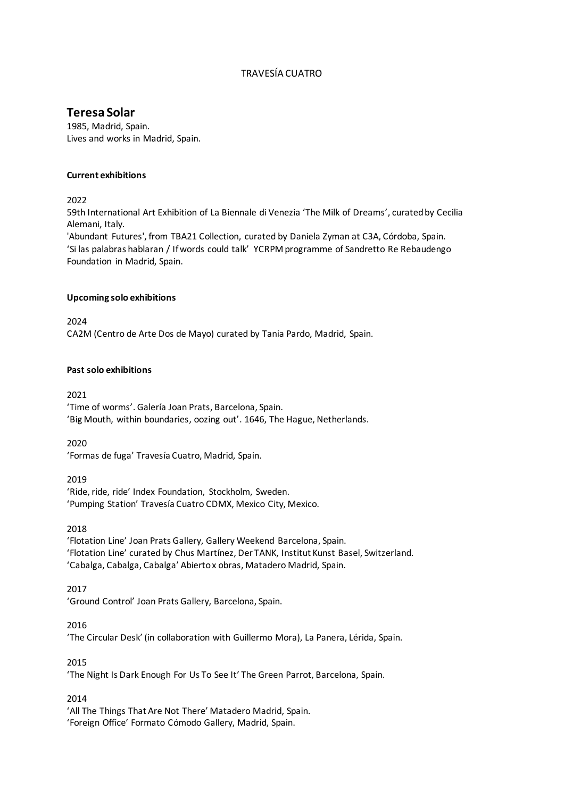# TRAVESÍA CUATRO

# **Teresa Solar**

1985, Madrid, Spain. Lives and works in Madrid, Spain.

#### **Current exhibitions**

2022

59th International Art Exhibition of La Biennale di Venezia 'The Milk of Dreams', curated by Cecilia Alemani, Italy.

'Abundant Futures', from TBA21 Collection, curated by Daniela Zyman at C3A, Córdoba, Spain. 'Si las palabras hablaran / If words could talk' YCRPM programme of Sandretto Re Rebaudengo Foundation in Madrid, Spain.

#### **Upcoming solo exhibitions**

2024 CA2M (Centro de Arte Dos de Mayo) curated by Tania Pardo, Madrid, Spain.

#### **Past solo exhibitions**

2021

'Time of worms'. Galería Joan Prats, Barcelona, Spain. 'Big Mouth, within boundaries, oozing out'. 1646, The Hague, Netherlands.

2020

'Formas de fuga' Travesía Cuatro, Madrid, Spain.

2019

'Ride, ride, ride' Index Foundation, Stockholm, Sweden. 'Pumping Station' Travesía Cuatro CDMX, Mexico City, Mexico.

2018

'Flotation Line' Joan Prats Gallery, Gallery Weekend Barcelona, Spain. 'Flotation Line' curated by Chus Martínez, Der TANK, Institut Kunst Basel, Switzerland. 'Cabalga, Cabalga, Cabalga' Abierto x obras, Matadero Madrid, Spain.

2017

'Ground Control' Joan Prats Gallery, Barcelona, Spain.

2016

'The Circular Desk' (in collaboration with Guillermo Mora), La Panera, Lérida, Spain.

2015

'The Night Is Dark Enough For Us To See It' The Green Parrot, Barcelona, Spain.

2014

'All The Things That Are Not There' Matadero Madrid, Spain. 'Foreign Office' Formato Cómodo Gallery, Madrid, Spain.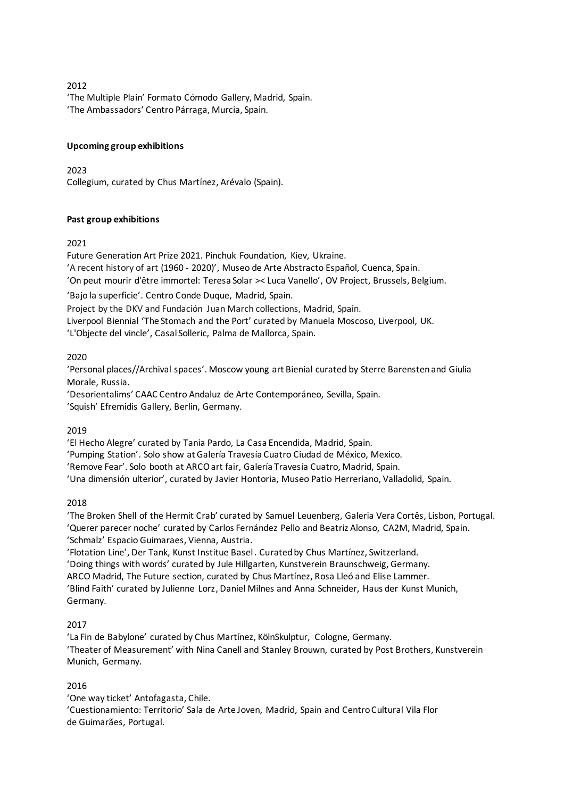'The Multiple Plain' Formato Cómodo Gallery, Madrid, Spain. 'The Ambassadors' Centro Párraga, Murcia, Spain.

## **Upcoming group exhibitions**

2023 Collegium, curated by Chus Martínez, Arévalo (Spain).

## **Past group exhibitions**

## 2021

Future Generation Art Prize 2021. Pinchuk Foundation, Kiev, Ukraine.

'A recent history of art (1960 - 2020)', Museo de Arte Abstracto Español, Cuenca, Spain.

'On peut mourir d'être immortel: Teresa Solar >< Luca Vanello', OV Project, Brussels, Belgium.

'Bajo la superficie'. Centro Conde Duque, Madrid, Spain.

Project by the DKV and Fundación Juan March collections, Madrid, Spain.

Liverpool Biennial 'The Stomach and the Port' curated by Manuela Moscoso, Liverpool, UK.

'L'Objecte del vincle', Casal Solleric, Palma de Mallorca, Spain.

# 2020

'Personal places//Archival spaces'. Moscow young art Bienial curated by Sterre Barensten and Giulia Morale, Russia.

'Desorientalims' CAAC Centro Andaluz de Arte Contemporáneo, Sevilla, Spain. 'Squish' Efremidis Gallery, Berlin, Germany.

2019

'El Hecho Alegre' curated by Tania Pardo, La Casa Encendida, Madrid, Spain.

'Pumping Station'. Solo show at Galería Travesía Cuatro Ciudad de México, Mexico.

'Remove Fear'. Solo booth at ARCO art fair, Galería Travesía Cuatro, Madrid, Spain.

'Una dimensión ulterior', curated by Javier Hontoria, Museo Patio Herreriano, Valladolid, Spain.

2018

'The Broken Shell of the Hermit Crab' curated by Samuel Leuenberg, Galeria Vera Cortês, Lisbon, Portugal. 'Querer parecer noche' curated by Carlos Fernández Pello and Beatriz Alonso, CA2M, Madrid, Spain. 'Schmalz' Espacio Guimaraes, Vienna, Austria.

'Flotation Line', Der Tank, Kunst Institue Basel . Curated by Chus Martínez, Switzerland.

'Doing things with words' curated by Jule Hillgarten, Kunstverein Braunschweig, Germany.

ARCO Madrid, The Future section, curated by Chus Martínez, Rosa Lleó and Elise Lammer.

'Blind Faith' curated by Julienne Lorz, Daniel Milnes and Anna Schneider, Haus der Kunst Munich, Germany.

# 2017

'La Fin de Babylone' curated by Chus Martínez, KölnSkulptur, Cologne, Germany. 'Theater of Measurement' with Nina Canell and Stanley Brouwn, curated by Post Brothers, Kunstverein Munich, Germany.

# 2016

'One way ticket' Antofagasta, Chile.

'Cuestionamiento: Territorio' Sala de Arte Joven, Madrid, Spain and Centro Cultural Vila Flor de Guimarães, Portugal.

#### 2012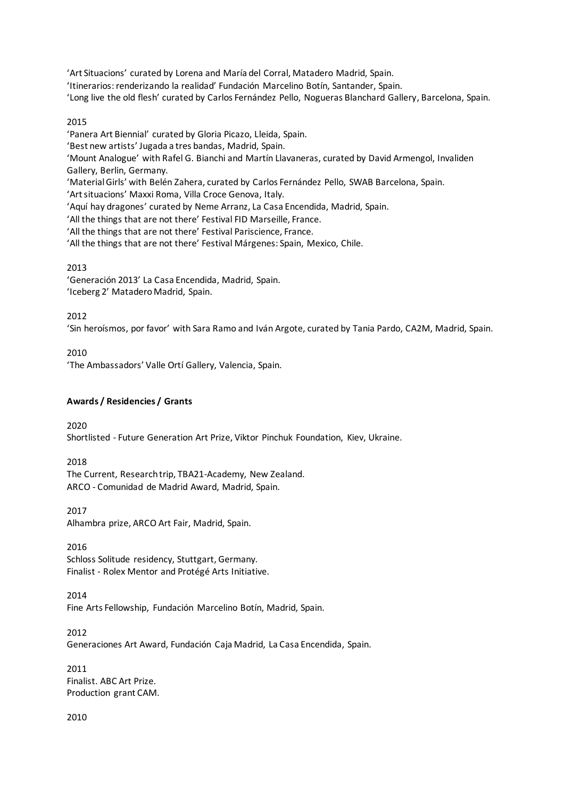'Art Situacions' curated by Lorena and María del Corral, Matadero Madrid, Spain.

'Itinerarios: renderizando la realidad' Fundación Marcelino Botín, Santander, Spain.

'Long live the old flesh' curated by Carlos Fernández Pello, Nogueras Blanchard Gallery, Barcelona, Spain.

#### 2015

'Panera Art Biennial' curated by Gloria Picazo, Lleida, Spain.

'Best new artists' Jugada a tres bandas, Madrid, Spain.

'Mount Analogue' with Rafel G. Bianchi and Martín Llavaneras, curated by David Armengol, Invaliden Gallery, Berlin, Germany.

'Material Girls' with Belén Zahera, curated by Carlos Fernández Pello, SWAB Barcelona, Spain.

'Art situacions' Maxxi Roma, Villa Croce Genova, Italy.

'Aquí hay dragones' curated by Neme Arranz, La Casa Encendida, Madrid, Spain.

'All the things that are not there' Festival FID Marseille, France.

'All the things that are not there' Festival Pariscience, France.

'All the things that are not there' Festival Márgenes: Spain, Mexico, Chile.

## 2013

'Generación 2013' La Casa Encendida, Madrid, Spain. 'Iceberg 2' Matadero Madrid, Spain.

## 2012

'Sin heroísmos, por favor' with Sara Ramo and Iván Argote, curated by Tania Pardo, CA2M, Madrid, Spain.

2010

'The Ambassadors' Valle Ortí Gallery, Valencia, Spain.

## **Awards / Residencies / Grants**

2020

Shortlisted - Future Generation Art Prize, Viktor Pinchuk Foundation, Kiev, Ukraine.

#### 2018

The Current, Research trip, TBA21-Academy, New Zealand. ARCO - Comunidad de Madrid Award, Madrid, Spain.

## 2017

Alhambra prize, ARCO Art Fair, Madrid, Spain.

## 2016

Schloss Solitude residency, Stuttgart, Germany. Finalist - Rolex Mentor and Protégé Arts Initiative.

## 2014

Fine Arts Fellowship, Fundación Marcelino Botín, Madrid, Spain.

## 2012

Generaciones Art Award, Fundación Caja Madrid, La Casa Encendida, Spain.

2011 Finalist. ABC Art Prize. Production grant CAM.

## 2010